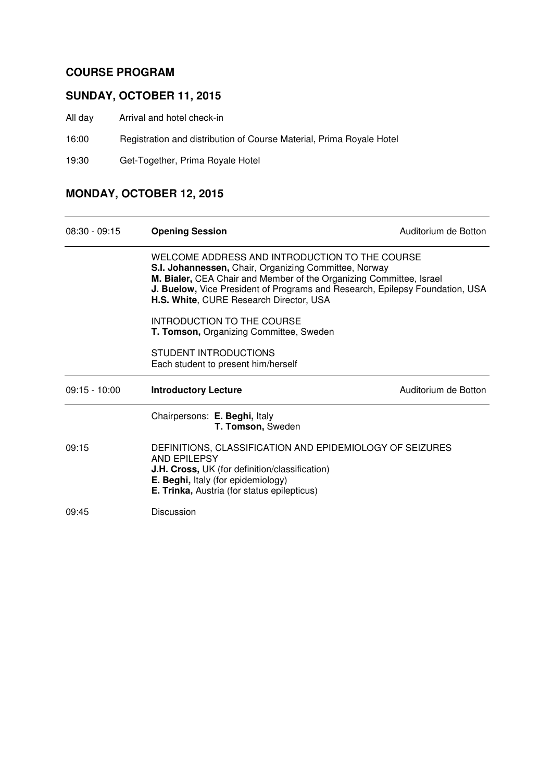### **COURSE PROGRAM**

### **SUNDAY, OCTOBER 11, 2015**

- All day Arrival and hotel check-in
- 16:00 Registration and distribution of Course Material, Prima Royale Hotel
- 19:30 Get-Together, Prima Royale Hotel

## **MONDAY, OCTOBER 12, 2015**

| $08:30 - 09:15$ | <b>Opening Session</b>                                                                                                                                                                                                    | Auditorium de Botton                                                         |  |
|-----------------|---------------------------------------------------------------------------------------------------------------------------------------------------------------------------------------------------------------------------|------------------------------------------------------------------------------|--|
|                 | WELCOME ADDRESS AND INTRODUCTION TO THE COURSE<br>S.I. Johannessen, Chair, Organizing Committee, Norway<br>M. Bialer, CEA Chair and Member of the Organizing Committee, Israel<br>H.S. White, CURE Research Director, USA | J. Buelow, Vice President of Programs and Research, Epilepsy Foundation, USA |  |
|                 | INTRODUCTION TO THE COURSE<br>T. Tomson, Organizing Committee, Sweden                                                                                                                                                     |                                                                              |  |
|                 | STUDENT INTRODUCTIONS<br>Each student to present him/herself                                                                                                                                                              |                                                                              |  |
| $09:15 - 10:00$ | <b>Introductory Lecture</b>                                                                                                                                                                                               | Auditorium de Botton                                                         |  |
|                 | Chairpersons: E. Beghi, Italy                                                                                                                                                                                             |                                                                              |  |
|                 | T. Tomson, Sweden                                                                                                                                                                                                         |                                                                              |  |
| 09:15           | DEFINITIONS, CLASSIFICATION AND EPIDEMIOLOGY OF SEIZURES<br>AND EPILEPSY<br><b>J.H. Cross, UK</b> (for definition/classification)<br>E. Beghi, Italy (for epidemiology)<br>E. Trinka, Austria (for status epilepticus)    |                                                                              |  |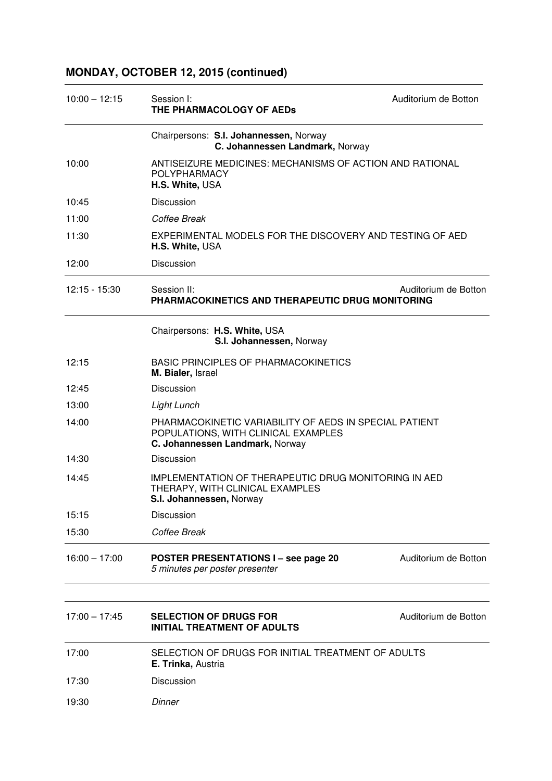## **MONDAY, OCTOBER 12, 2015 (continued)**

| $10:00 - 12:15$ | Session I:<br>THE PHARMACOLOGY OF AEDs                                                                                           | Auditorium de Botton |
|-----------------|----------------------------------------------------------------------------------------------------------------------------------|----------------------|
|                 | Chairpersons: S.I. Johannessen, Norway<br>C. Johannessen Landmark, Norway                                                        |                      |
| 10:00           | ANTISEIZURE MEDICINES: MECHANISMS OF ACTION AND RATIONAL<br><b>POLYPHARMACY</b><br>H.S. White, USA                               |                      |
| 10:45           | <b>Discussion</b>                                                                                                                |                      |
| 11:00           | Coffee Break                                                                                                                     |                      |
| 11:30           | EXPERIMENTAL MODELS FOR THE DISCOVERY AND TESTING OF AED<br>H.S. White, USA                                                      |                      |
| 12:00           | Discussion                                                                                                                       |                      |
| $12:15 - 15:30$ | Session II:<br>PHARMACOKINETICS AND THERAPEUTIC DRUG MONITORING                                                                  | Auditorium de Botton |
|                 | Chairpersons: H.S. White, USA<br>S.I. Johannessen, Norway                                                                        |                      |
| 12:15           | <b>BASIC PRINCIPLES OF PHARMACOKINETICS</b><br>M. Bialer, Israel                                                                 |                      |
| 12:45           | <b>Discussion</b>                                                                                                                |                      |
| 13:00           | Light Lunch                                                                                                                      |                      |
| 14:00           | PHARMACOKINETIC VARIABILITY OF AEDS IN SPECIAL PATIENT<br>POPULATIONS, WITH CLINICAL EXAMPLES<br>C. Johannessen Landmark, Norway |                      |
| 14:30           | <b>Discussion</b>                                                                                                                |                      |
| 14:45           | <b>IMPLEMENTATION OF THERAPEUTIC DRUG MONITORING IN AED</b><br>THERAPY, WITH CLINICAL EXAMPLES<br>S.I. Johannessen, Norway       |                      |
| 15:15           | Discussion                                                                                                                       |                      |
| 15:30           | Coffee Break                                                                                                                     |                      |
| $16:00 - 17:00$ | <b>POSTER PRESENTATIONS I - see page 20</b><br>5 minutes per poster presenter                                                    | Auditorium de Botton |
|                 |                                                                                                                                  |                      |
| $17:00 - 17:45$ | <b>SELECTION OF DRUGS FOR</b><br><b>INITIAL TREATMENT OF ADULTS</b>                                                              | Auditorium de Botton |
| 17:00           | SELECTION OF DRUGS FOR INITIAL TREATMENT OF ADULTS<br>E. Trinka, Austria                                                         |                      |
| 17:30           | Discussion                                                                                                                       |                      |

19:30 Dinner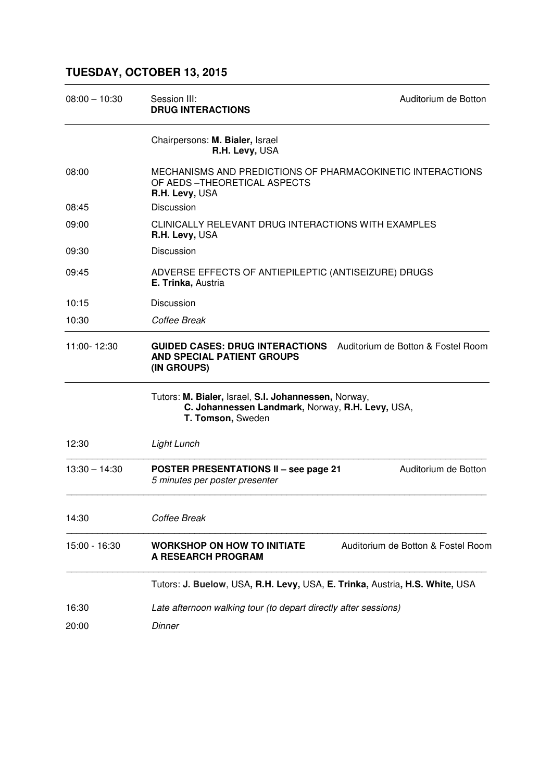## **TUESDAY, OCTOBER 13, 2015**

| $08:00 - 10:30$ | Session III:<br><b>DRUG INTERACTIONS</b>                                                                                      | Auditorium de Botton               |
|-----------------|-------------------------------------------------------------------------------------------------------------------------------|------------------------------------|
|                 | Chairpersons: M. Bialer, Israel<br>R.H. Levy, USA                                                                             |                                    |
| 08:00           | MECHANISMS AND PREDICTIONS OF PHARMACOKINETIC INTERACTIONS<br>OF AEDS-THEORETICAL ASPECTS<br>R.H. Levy, USA                   |                                    |
| 08:45           | <b>Discussion</b>                                                                                                             |                                    |
| 09:00           | CLINICALLY RELEVANT DRUG INTERACTIONS WITH EXAMPLES<br>R.H. Levy, USA                                                         |                                    |
| 09:30           | Discussion                                                                                                                    |                                    |
| 09:45           | ADVERSE EFFECTS OF ANTIEPILEPTIC (ANTISEIZURE) DRUGS<br>E. Trinka, Austria                                                    |                                    |
| 10:15           | Discussion                                                                                                                    |                                    |
| 10:30           | Coffee Break                                                                                                                  |                                    |
| 11:00-12:30     | <b>GUIDED CASES: DRUG INTERACTIONS</b><br><b>AND SPECIAL PATIENT GROUPS</b><br>(IN GROUPS)                                    | Auditorium de Botton & Fostel Room |
|                 | Tutors: M. Bialer, Israel, S.I. Johannessen, Norway,<br>C. Johannessen Landmark, Norway, R.H. Levy, USA,<br>T. Tomson, Sweden |                                    |
| 12:30           | Light Lunch                                                                                                                   |                                    |
| $13:30 - 14:30$ | <b>POSTER PRESENTATIONS II - see page 21</b><br>5 minutes per poster presenter                                                | Auditorium de Botton               |
| 14:30           | Coffee Break                                                                                                                  |                                    |
| 15:00 - 16:30   | <b>WORKSHOP ON HOW TO INITIATE</b><br><b>A RESEARCH PROGRAM</b>                                                               | Auditorium de Botton & Fostel Room |
|                 | Tutors: J. Buelow, USA, R.H. Levy, USA, E. Trinka, Austria, H.S. White, USA                                                   |                                    |
| 16:30           | Late afternoon walking tour (to depart directly after sessions)                                                               |                                    |
| 20:00           | Dinner                                                                                                                        |                                    |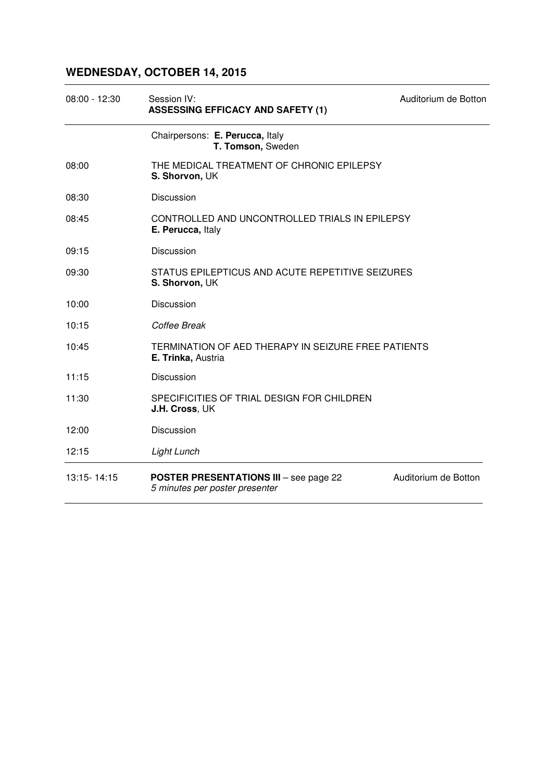# **WEDNESDAY, OCTOBER 14, 2015**

| $08:00 - 12:30$ | Session IV:<br><b>ASSESSING EFFICACY AND SAFETY (1)</b>                         | Auditorium de Botton |
|-----------------|---------------------------------------------------------------------------------|----------------------|
|                 | Chairpersons: E. Perucca, Italy<br>T. Tomson, Sweden                            |                      |
| 08:00           | THE MEDICAL TREATMENT OF CHRONIC EPILEPSY<br>S. Shorvon, UK                     |                      |
| 08:30           | Discussion                                                                      |                      |
| 08:45           | CONTROLLED AND UNCONTROLLED TRIALS IN EPILEPSY<br>E. Perucca, Italy             |                      |
| 09:15           | Discussion                                                                      |                      |
| 09:30           | STATUS EPILEPTICUS AND ACUTE REPETITIVE SEIZURES<br>S. Shorvon, UK              |                      |
| 10:00           | Discussion                                                                      |                      |
| 10:15           | Coffee Break                                                                    |                      |
| 10:45           | TERMINATION OF AED THERAPY IN SEIZURE FREE PATIENTS<br>E. Trinka, Austria       |                      |
| 11:15           | Discussion                                                                      |                      |
| 11:30           | SPECIFICITIES OF TRIAL DESIGN FOR CHILDREN<br>J.H. Cross, UK                    |                      |
| 12:00           | Discussion                                                                      |                      |
| 12:15           | Light Lunch                                                                     |                      |
| 13:15-14:15     | <b>POSTER PRESENTATIONS III - see page 22</b><br>5 minutes per poster presenter | Auditorium de Botton |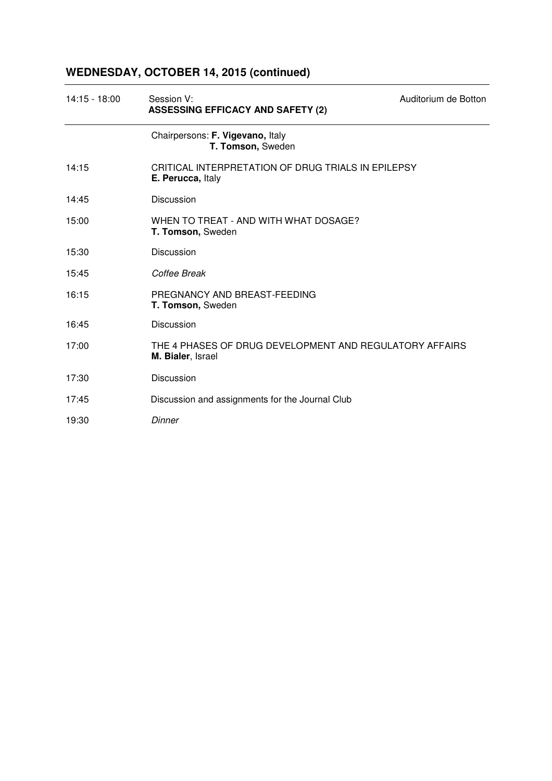# **WEDNESDAY, OCTOBER 14, 2015 (continued)**

| $14:15 - 18:00$ | Session V:<br><b>ASSESSING EFFICACY AND SAFETY (2)</b>                       | Auditorium de Botton |
|-----------------|------------------------------------------------------------------------------|----------------------|
|                 | Chairpersons: F. Vigevano, Italy<br>T. Tomson, Sweden                        |                      |
| 14:15           | CRITICAL INTERPRETATION OF DRUG TRIALS IN EPILEPSY<br>E. Perucca, Italy      |                      |
| 14:45           | <b>Discussion</b>                                                            |                      |
| 15:00           | WHEN TO TREAT - AND WITH WHAT DOSAGE?<br>T. Tomson, Sweden                   |                      |
| 15:30           | Discussion                                                                   |                      |
| 15:45           | Coffee Break                                                                 |                      |
| 16:15           | PREGNANCY AND BREAST-FEEDING<br>T. Tomson, Sweden                            |                      |
| 16:45           | <b>Discussion</b>                                                            |                      |
| 17:00           | THE 4 PHASES OF DRUG DEVELOPMENT AND REGULATORY AFFAIRS<br>M. Bialer, Israel |                      |
| 17:30           | Discussion                                                                   |                      |
| 17:45           | Discussion and assignments for the Journal Club                              |                      |
| 19:30           | Dinner                                                                       |                      |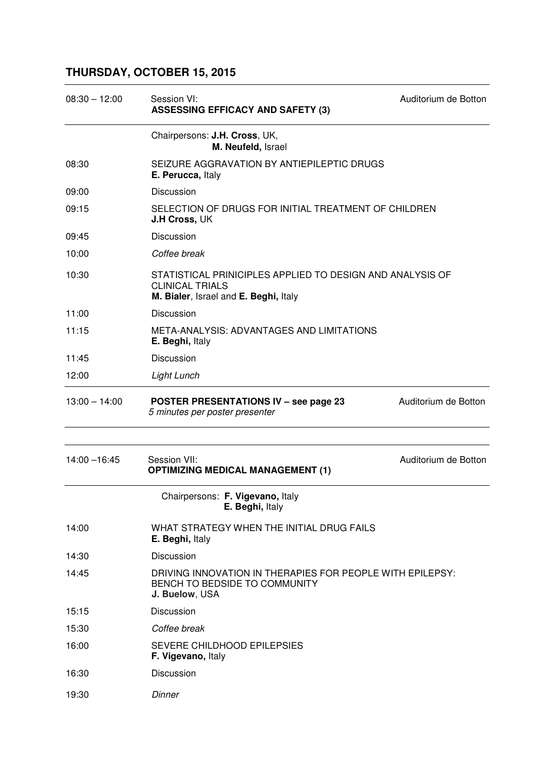## **THURSDAY, OCTOBER 15, 2015**

| $08:30 - 12:00$ | Session VI:<br><b>ASSESSING EFFICACY AND SAFETY (3)</b>                                                                      | Auditorium de Botton |
|-----------------|------------------------------------------------------------------------------------------------------------------------------|----------------------|
|                 | Chairpersons: J.H. Cross, UK,<br>M. Neufeld, Israel                                                                          |                      |
| 08:30           | SEIZURE AGGRAVATION BY ANTIEPILEPTIC DRUGS<br>E. Perucca, Italy                                                              |                      |
| 09:00           | Discussion                                                                                                                   |                      |
| 09:15           | SELECTION OF DRUGS FOR INITIAL TREATMENT OF CHILDREN<br><b>J.H Cross, UK</b>                                                 |                      |
| 09:45           | Discussion                                                                                                                   |                      |
| 10:00           | Coffee break                                                                                                                 |                      |
| 10:30           | STATISTICAL PRINICIPLES APPLIED TO DESIGN AND ANALYSIS OF<br><b>CLINICAL TRIALS</b><br>M. Bialer, Israel and E. Beghi, Italy |                      |
| 11:00           | Discussion                                                                                                                   |                      |
| 11:15           | META-ANALYSIS: ADVANTAGES AND LIMITATIONS<br>E. Beghi, Italy                                                                 |                      |
| 11:45           | Discussion                                                                                                                   |                      |
| 12:00           | Light Lunch                                                                                                                  |                      |
| $13:00 - 14:00$ | <b>POSTER PRESENTATIONS IV - see page 23</b><br>5 minutes per poster presenter                                               | Auditorium de Botton |
|                 |                                                                                                                              |                      |
| $14:00 - 16:45$ | Session VII:<br><b>OPTIMIZING MEDICAL MANAGEMENT (1)</b>                                                                     | Auditorium de Botton |
|                 | Chairpersons: F. Vigevano, Italy<br>E. Beghi, Italy                                                                          |                      |
| 14:00           | WHAT STRATEGY WHEN THE INITIAL DRUG FAILS<br>E. Beghi, Italy                                                                 |                      |
| 14:30           | Discussion                                                                                                                   |                      |
| 14:45           | DRIVING INNOVATION IN THERAPIES FOR PEOPLE WITH EPILEPSY:<br>BENCH TO BEDSIDE TO COMMUNITY<br>J. Buelow, USA                 |                      |
| 15:15           | Discussion                                                                                                                   |                      |
| 15:30           | Coffee break                                                                                                                 |                      |
| 16:00           | SEVERE CHILDHOOD EPILEPSIES<br>F. Vigevano, Italy                                                                            |                      |
| 16:30           | Discussion                                                                                                                   |                      |
| 19:30           | Dinner                                                                                                                       |                      |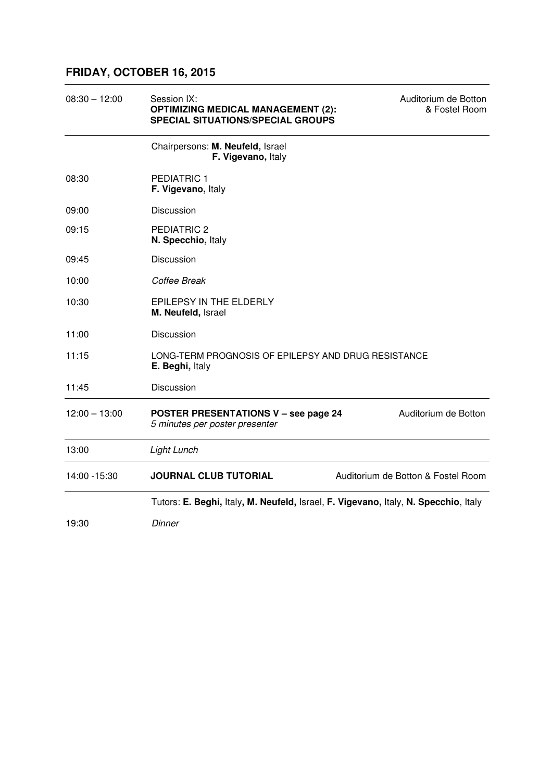### **FRIDAY, OCTOBER 16, 2015**

| $08:30 - 12:00$ | Session IX:<br><b>OPTIMIZING MEDICAL MANAGEMENT (2):</b><br><b>SPECIAL SITUATIONS/SPECIAL GROUPS</b> | Auditorium de Botton<br>& Fostel Room |
|-----------------|------------------------------------------------------------------------------------------------------|---------------------------------------|
|                 | Chairpersons: M. Neufeld, Israel<br>F. Vigevano, Italy                                               |                                       |
| 08:30           | <b>PEDIATRIC 1</b><br>F. Vigevano, Italy                                                             |                                       |
| 09:00           | Discussion                                                                                           |                                       |
| 09:15           | PEDIATRIC 2<br>N. Specchio, Italy                                                                    |                                       |
| 09:45           | <b>Discussion</b>                                                                                    |                                       |
| 10:00           | Coffee Break                                                                                         |                                       |
| 10:30           | EPILEPSY IN THE ELDERLY<br>M. Neufeld, Israel                                                        |                                       |
| 11:00           | Discussion                                                                                           |                                       |
| 11:15           | LONG-TERM PROGNOSIS OF EPILEPSY AND DRUG RESISTANCE<br>E. Beghi, Italy                               |                                       |
| 11:45           | Discussion                                                                                           |                                       |
| $12:00 - 13:00$ | <b>POSTER PRESENTATIONS V - see page 24</b><br>5 minutes per poster presenter                        | Auditorium de Botton                  |
| 13:00           | <b>Light Lunch</b>                                                                                   |                                       |
| 14:00 - 15:30   | <b>JOURNAL CLUB TUTORIAL</b>                                                                         | Auditorium de Botton & Fostel Room    |
|                 | Tutors: E. Beghi, Italy, M. Neufeld, Israel, F. Vigevano, Italy, N. Specchio, Italy                  |                                       |
| 19:30           | Dinner                                                                                               |                                       |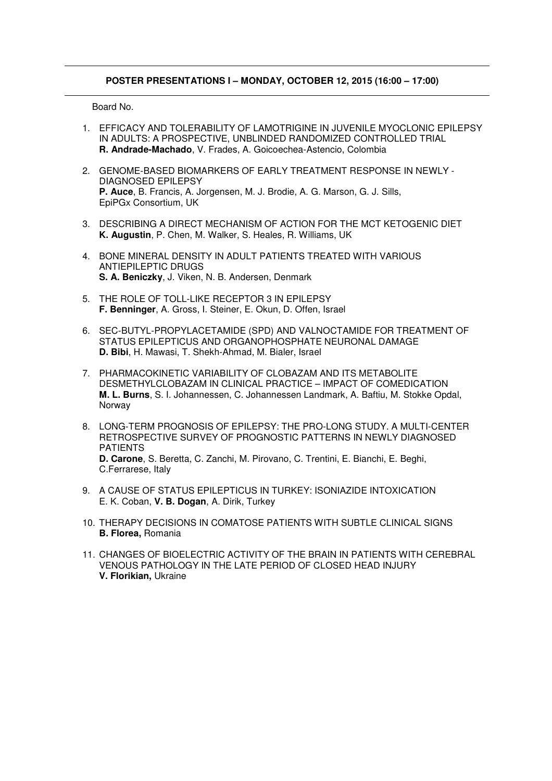### **POSTER PRESENTATIONS I – MONDAY, OCTOBER 12, 2015 (16:00 – 17:00)**

- 1. EFFICACY AND TOLERABILITY OF LAMOTRIGINE IN JUVENILE MYOCLONIC EPILEPSY IN ADULTS: A PROSPECTIVE, UNBLINDED RANDOMIZED CONTROLLED TRIAL **R. Andrade-Machado**, V. Frades, A. Goicoechea-Astencio, Colombia
- 2. GENOME-BASED BIOMARKERS OF EARLY TREATMENT RESPONSE IN NEWLY DIAGNOSED EPILEPSY **P. Auce**, B. Francis, A. Jorgensen, M. J. Brodie, A. G. Marson, G. J. Sills, EpiPGx Consortium, UK
- 3. DESCRIBING A DIRECT MECHANISM OF ACTION FOR THE MCT KETOGENIC DIET **K. Augustin**, P. Chen, M. Walker, S. Heales, R. Williams, UK
- 4. BONE MINERAL DENSITY IN ADULT PATIENTS TREATED WITH VARIOUS ANTIEPILEPTIC DRUGS **S. A. Beniczky**, J. Viken, N. B. Andersen, Denmark
- 5. THE ROLE OF TOLL-LIKE RECEPTOR 3 IN EPILEPSY **F. Benninger**, A. Gross, I. Steiner, E. Okun, D. Offen, Israel
- 6. SEC-BUTYL-PROPYLACETAMIDE (SPD) AND VALNOCTAMIDE FOR TREATMENT OF STATUS EPILEPTICUS AND ORGANOPHOSPHATE NEURONAL DAMAGE **D. Bibi**, H. Mawasi, T. Shekh-Ahmad, M. Bialer, Israel
- 7. PHARMACOKINETIC VARIABILITY OF CLOBAZAM AND ITS METABOLITE DESMETHYLCLOBAZAM IN CLINICAL PRACTICE – IMPACT OF COMEDICATION **M. L. Burns**, S. I. Johannessen, C. Johannessen Landmark, A. Baftiu, M. Stokke Opdal, Norway
- 8. LONG-TERM PROGNOSIS OF EPILEPSY: THE PRO-LONG STUDY. A MULTI-CENTER RETROSPECTIVE SURVEY OF PROGNOSTIC PATTERNS IN NEWLY DIAGNOSED PATIENTS **D. Carone**, S. Beretta, C. Zanchi, M. Pirovano, C. Trentini, E. Bianchi, E. Beghi, C.Ferrarese, Italy
- 9. A CAUSE OF STATUS EPILEPTICUS IN TURKEY: ISONIAZIDE INTOXICATION E. K. Coban, **V. B. Dogan**, A. Dirik, Turkey
- 10. THERAPY DECISIONS IN COMATOSE PATIENTS WITH SUBTLE CLINICAL SIGNS **B. Florea,** Romania
- 11. CHANGES OF BIOELECTRIC ACTIVITY OF THE BRAIN IN PATIENTS WITH CEREBRAL VENOUS PATHOLOGY IN THE LATE PERIOD OF CLOSED HEAD INJURY **V. Florikian,** Ukraine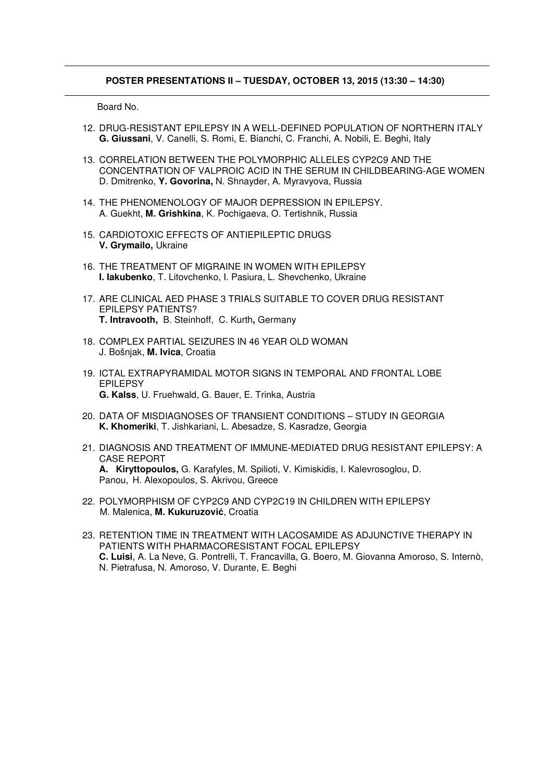#### **POSTER PRESENTATIONS II – TUESDAY, OCTOBER 13, 2015 (13:30 – 14:30)**

- 12. DRUG-RESISTANT EPILEPSY IN A WELL-DEFINED POPULATION OF NORTHERN ITALY **G. Giussani**, V. Canelli, S. Romi, E. Bianchi, C. Franchi, A. Nobili, E. Beghi, Italy
- 13. CORRELATION BETWEEN THE POLYMORPHIC ALLELES CYP2C9 AND THE CONCENTRATION OF VALPROIC ACID IN THE SERUM IN CHILDBEARING-AGE WOMEN D. Dmitrenko, **Y. Govorina,** N. Shnayder, A. Myravyova, Russia
- 14. THE PHENOMENOLOGY OF MAJOR DEPRESSION IN EPILEPSY. A. Guekht, **M. Grishkina**, K. Pochigaeva, O. Tertishnik, Russia
- 15. CARDIOTOXIC EFFECTS OF ANTIEPILEPTIC DRUGS **V. Grymailo,** Ukraine
- 16. THE TREATMENT OF MIGRAINE IN WOMEN WITH EPILEPSY **I. Iakubenko**, T. Litovchenko, I. Pasiura, L. Shevchenko, Ukraine
- 17. ARE CLINICAL AED PHASE 3 TRIALS SUITABLE TO COVER DRUG RESISTANT EPILEPSY PATIENTS? **T. Intravooth,** B. Steinhoff, C. Kurth**,** Germany
- 18. COMPLEX PARTIAL SEIZURES IN 46 YEAR OLD WOMAN J. Bošnjak, **M. Ivica**, Croatia
- 19. ICTAL EXTRAPYRAMIDAL MOTOR SIGNS IN TEMPORAL AND FRONTAL LOBE EPILEPSY **G. Kalss**, U. Fruehwald, G. Bauer, E. Trinka, Austria
- 20. DATA OF MISDIAGNOSES OF TRANSIENT CONDITIONS STUDY IN GEORGIA **K. Khomeriki**, T. Jishkariani, L. Abesadze, S. Kasradze, Georgia
- 21. DIAGNOSIS AND TREATMENT OF IMMUNE-MEDIATED DRUG RESISTANT EPILEPSY: A CASE REPORT **A. Kiryttopoulos,** G. Karafyles, M. Spilioti, V. Kimiskidis, I. Kalevrosoglou, D. Panou, H. Alexopoulos, S. Akrivou, Greece
- 22. POLYMORPHISM OF CYP2C9 AND CYP2C19 IN CHILDREN WITH EPILEPSY M. Malenica, **M. Kukuruzovi**ć, Croatia
- 23. RETENTION TIME IN TREATMENT WITH LACOSAMIDE AS ADJUNCTIVE THERAPY IN PATIENTS WITH PHARMACORESISTANT FOCAL EPILEPSY **C. Luisi**, A. La Neve, G. Pontrelli, T. Francavilla, G. Boero, M. Giovanna Amoroso, S. Internò, N. Pietrafusa, N. Amoroso, V. Durante, E. Beghi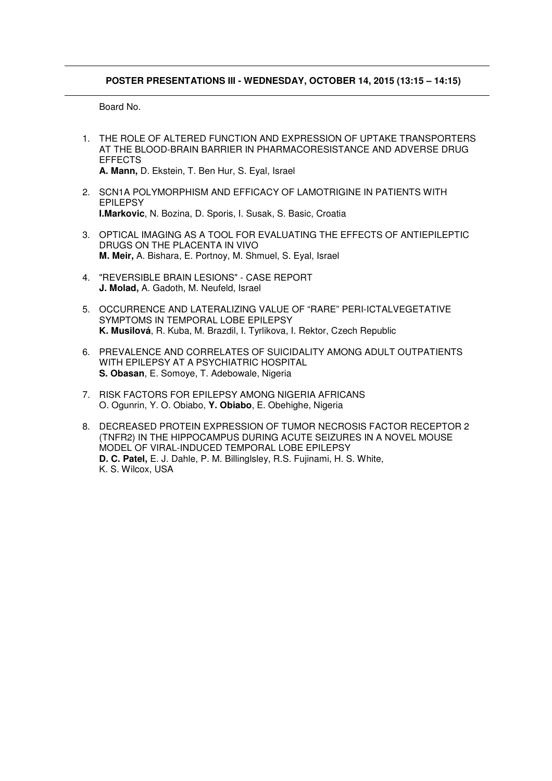#### **POSTER PRESENTATIONS III - WEDNESDAY, OCTOBER 14, 2015 (13:15 – 14:15)**

- 1. THE ROLE OF ALTERED FUNCTION AND EXPRESSION OF UPTAKE TRANSPORTERS AT THE BLOOD-BRAIN BARRIER IN PHARMACORESISTANCE AND ADVERSE DRUG EFFECTS **A. Mann,** D. Ekstein, T. Ben Hur, S. Eyal, Israel
- 2. SCN1A POLYMORPHISM AND EFFICACY OF LAMOTRIGINE IN PATIENTS WITH EPILEPSY **I.Markovic**, N. Bozina, D. Sporis, I. Susak, S. Basic, Croatia
- 3. OPTICAL IMAGING AS A TOOL FOR EVALUATING THE EFFECTS OF ANTIEPILEPTIC DRUGS ON THE PLACENTA IN VIVO **M. Meir,** A. Bishara, E. Portnoy, M. Shmuel, S. Eyal, Israel
- 4. "REVERSIBLE BRAIN LESIONS" CASE REPORT **J. Molad,** A. Gadoth, M. Neufeld, Israel
- 5. OCCURRENCE AND LATERALIZING VALUE OF "RARE" PERI-ICTALVEGETATIVE SYMPTOMS IN TEMPORAL LOBE EPILEPSY **K. Musilová**, R. Kuba, M. Brazdil, I. Tyrlikova, I. Rektor, Czech Republic
- 6. PREVALENCE AND CORRELATES OF SUICIDALITY AMONG ADULT OUTPATIENTS WITH EPILEPSY AT A PSYCHIATRIC HOSPITAL **S. Obasan**, E. Somoye, T. Adebowale, Nigeria
- 7. RISK FACTORS FOR EPILEPSY AMONG NIGERIA AFRICANS O. Ogunrin, Y. O. Obiabo, **Y. Obiabo**, E. Obehighe, Nigeria
- 8. DECREASED PROTEIN EXPRESSION OF TUMOR NECROSIS FACTOR RECEPTOR 2 (TNFR2) IN THE HIPPOCAMPUS DURING ACUTE SEIZURES IN A NOVEL MOUSE MODEL OF VIRAL-INDUCED TEMPORAL LOBE EPILEPSY **D. C. Patel,** E. J. Dahle, P. M. Billinglsley, R.S. Fujinami, H. S. White, K. S. Wilcox, USA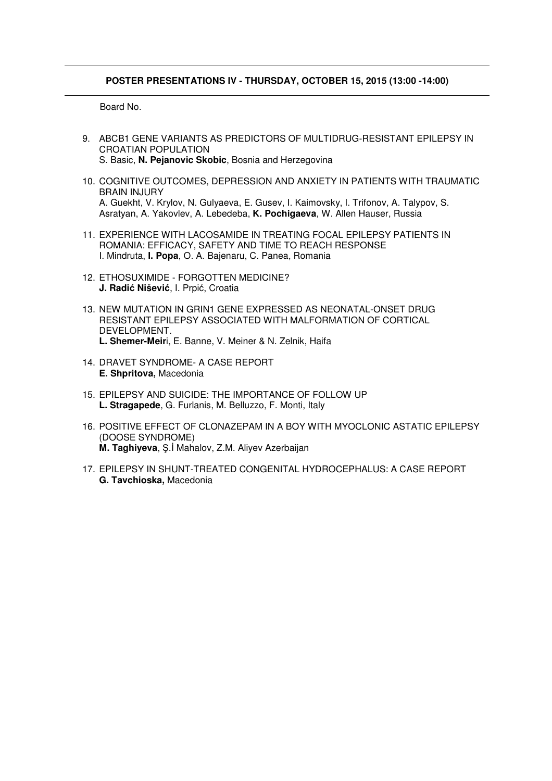#### **POSTER PRESENTATIONS IV - THURSDAY, OCTOBER 15, 2015 (13:00 -14:00)**

- 9. ABCB1 GENE VARIANTS AS PREDICTORS OF MULTIDRUG-RESISTANT EPILEPSY IN CROATIAN POPULATION S. Basic, **N. Pejanovic Skobic**, Bosnia and Herzegovina
- 10. COGNITIVE OUTCOMES, DEPRESSION AND ANXIETY IN PATIENTS WITH TRAUMATIC BRAIN INJURY A. Guekht, V. Krylov, N. Gulyaeva, E. Gusev, I. Kaimovsky, I. Trifonov, A. Talypov, S. Asratyan, A. Yakovlev, A. Lebedeba, **K. Pochigaeva**, W. Allen Hauser, Russia
- 11. EXPERIENCE WITH LACOSAMIDE IN TREATING FOCAL EPILEPSY PATIENTS IN ROMANIA: EFFICACY, SAFETY AND TIME TO REACH RESPONSE I. Mindruta, **I. Popa**, O. A. Bajenaru, C. Panea, Romania
- 12. ETHOSUXIMIDE FORGOTTEN MEDICINE? **J. Radi**ć **Niševi**ć, I. Prpić, Croatia
- 13. NEW MUTATION IN GRIN1 GENE EXPRESSED AS NEONATAL-ONSET DRUG RESISTANT EPILEPSY ASSOCIATED WITH MALFORMATION OF CORTICAL DEVELOPMENT. **L. Shemer-Meir**i, E. Banne, V. Meiner & N. Zelnik, Haifa
- 14. DRAVET SYNDROME- A CASE REPORT **E. Shpritova,** Macedonia
- 15. EPILEPSY AND SUICIDE: THE IMPORTANCE OF FOLLOW UP **L. Stragapede**, G. Furlanis, M. Belluzzo, F. Monti, Italy
- 16. POSITIVE EFFECT OF CLONAZEPAM IN A BOY WITH MYOCLONIC ASTATIC EPILEPSY (DOOSE SYNDROME) **M. Taghiyeva**, Ş.İ Mahalov, Z.M. Aliyev Azerbaijan
- 17. EPILEPSY IN SHUNT-TREATED CONGENITAL HYDROCEPHALUS: A CASE REPORT **G. Tavchioska,** Macedonia